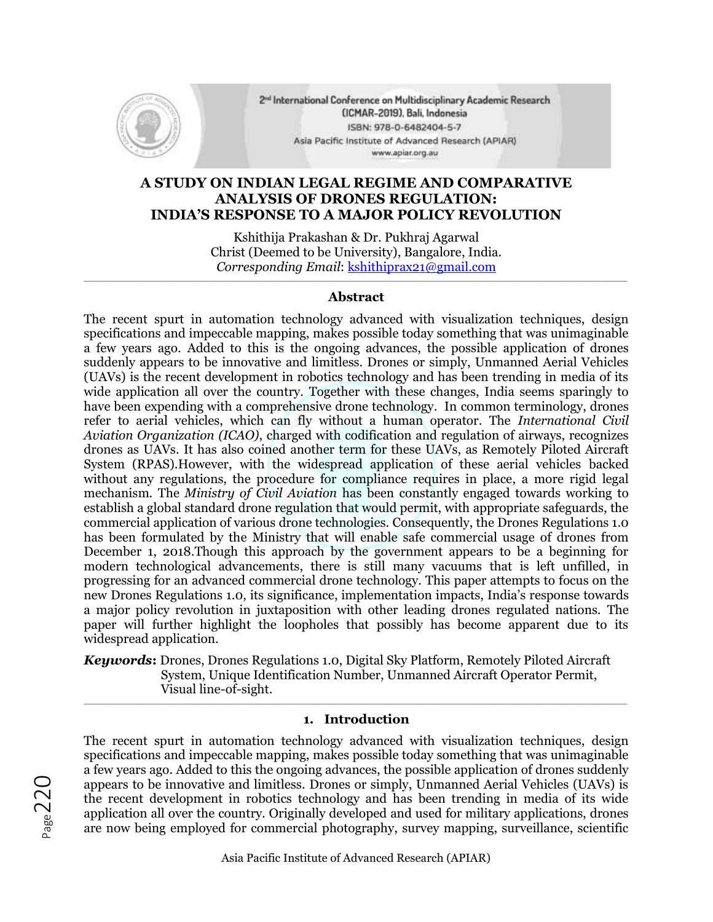

2<sup>nd</sup> International Conference on Multidisciplinary Academic Research (ICMAR-2019), Bali, Indonesia ISBN: 978-0-6482404-5-7 Asia Pacific Institute of Advanced Research (APIAR) www.apiar.org.au

# **A STUDY ON INDIAN LEGAL REGIME AND COMPARATIVE ANALYSIS OF DRONES REGULATION: INDIA'S RESPONSE TO A MAJOR POLICY REVOLUTION**

Kshithija Prakashan & Dr. Pukhraj Agarwal Christ (Deemed to be University), Bangalore, India. *Corresponding Email*: [kshithiprax21@gmail.com](mailto:kshithiprax21@gmail.com)

### $\_$  , and the set of the set of the set of the set of the set of the set of the set of the set of the set of the set of the set of the set of the set of the set of the set of the set of the set of the set of the set of th **Abstract**

The recent spurt in automation technology advanced with visualization techniques, design specifications and impeccable mapping, makes possible today something that was unimaginable a few years ago. Added to this is the ongoing advances, the possible application of drones suddenly appears to be innovative and limitless. Drones or simply, Unmanned Aerial Vehicles (UAVs) is the recent development in robotics technology and has been trending in media of its wide application all over the country. Together with these changes, India seems sparingly to have been expending with a comprehensive drone technology. In common terminology, drones refer to aerial vehicles, which can fly without a human operator. The *International Civil Aviation Organization (ICAO)*, charged with codification and regulation of airways, recognizes drones as UAVs. It has also coined another term for these UAVs, as Remotely Piloted Aircraft System (RPAS).However, with the widespread application of these aerial vehicles backed without any regulations, the procedure for compliance requires in place, a more rigid legal mechanism. The *Ministry of Civil Aviation* has been constantly engaged towards working to establish a global standard drone regulation that would permit, with appropriate safeguards, the commercial application of various drone technologies. Consequently, the Drones Regulations 1.0 has been formulated by the Ministry that will enable safe commercial usage of drones from December 1, 2018.Though this approach by the government appears to be a beginning for modern technological advancements, there is still many vacuums that is left unfilled, in progressing for an advanced commercial drone technology. This paper attempts to focus on the new Drones Regulations 1.0, its significance, implementation impacts, India's response towards a major policy revolution in juxtaposition with other leading drones regulated nations. The paper will further highlight the loopholes that possibly has become apparent due to its widespread application.

*Keywords***:** Drones, Drones Regulations 1.0, Digital Sky Platform, Remotely Piloted Aircraft System, Unique Identification Number, Unmanned Aircraft Operator Permit, Visual line-of-sight.

#### \_\_\_\_\_\_\_\_\_\_\_\_\_\_\_\_\_\_\_\_\_\_\_\_\_\_\_\_\_\_\_\_\_\_\_\_\_\_\_\_\_\_\_\_\_\_\_\_\_\_\_\_\_\_\_\_\_\_\_\_\_\_\_\_\_\_\_\_\_\_\_\_\_\_\_\_\_\_\_\_\_\_\_\_\_\_\_\_\_\_\_\_\_\_\_\_\_\_\_\_\_\_\_\_\_\_\_\_\_\_\_\_\_\_\_\_\_\_\_\_\_ **1. Introduction**

The recent spurt in automation technology advanced with visualization techniques, design specifications and impeccable mapping, makes possible today something that was unimaginable a few years ago. Added to this the ongoing advances, the possible application of drones suddenly appears to be innovative and limitless. Drones or simply, Unmanned Aerial Vehicles (UAVs) is the recent development in robotics technology and has been trending in media of its wide application all over the country. Originally developed and used for military applications, drones are now being employed for commercial photography, survey mapping, surveillance, scientific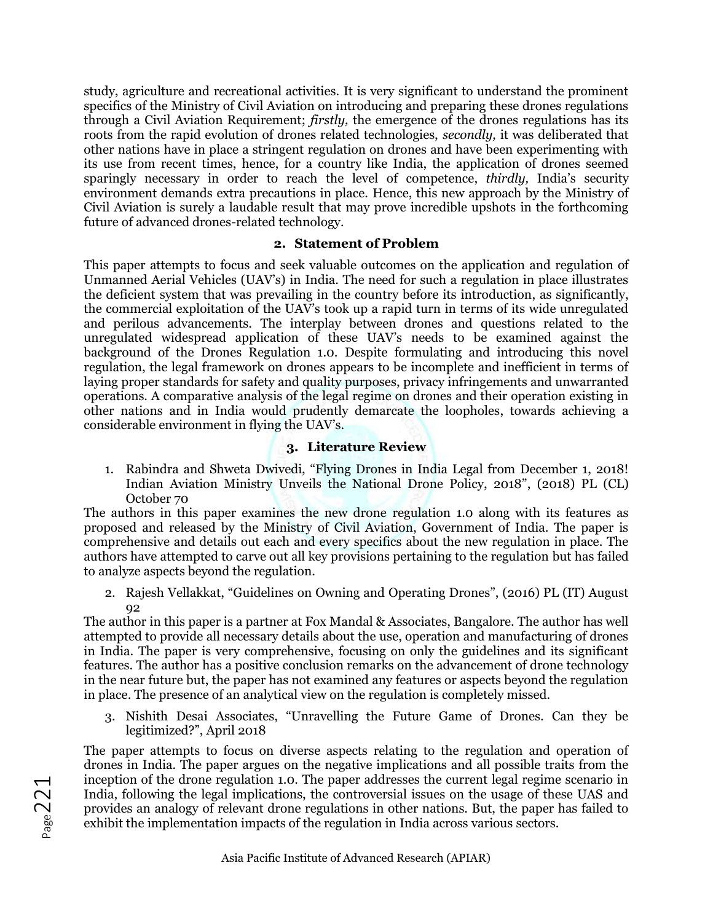study, agriculture and recreational activities. It is very significant to understand the prominent specifics of the Ministry of Civil Aviation on introducing and preparing these drones regulations through a Civil Aviation Requirement; *firstly,* the emergence of the drones regulations has its roots from the rapid evolution of drones related technologies, *secondly,* it was deliberated that other nations have in place a stringent regulation on drones and have been experimenting with its use from recent times, hence, for a country like India, the application of drones seemed sparingly necessary in order to reach the level of competence, *thirdly,* India's security environment demands extra precautions in place. Hence, this new approach by the Ministry of Civil Aviation is surely a laudable result that may prove incredible upshots in the forthcoming future of advanced drones-related technology.

#### **2. Statement of Problem**

This paper attempts to focus and seek valuable outcomes on the application and regulation of Unmanned Aerial Vehicles (UAV's) in India. The need for such a regulation in place illustrates the deficient system that was prevailing in the country before its introduction, as significantly, the commercial exploitation of the UAV's took up a rapid turn in terms of its wide unregulated and perilous advancements. The interplay between drones and questions related to the unregulated widespread application of these UAV's needs to be examined against the background of the Drones Regulation 1.0. Despite formulating and introducing this novel regulation, the legal framework on drones appears to be incomplete and inefficient in terms of laying proper standards for safety and quality purposes, privacy infringements and unwarranted operations. A comparative analysis of the legal regime on drones and their operation existing in other nations and in India would prudently demarcate the loopholes, towards achieving a considerable environment in flying the UAV's.

## **3. Literature Review**

1. Rabindra and Shweta Dwivedi, "Flying Drones in India Legal from December 1, 2018! Indian Aviation Ministry Unveils the National Drone Policy, 2018", (2018) PL (CL) October 70

The authors in this paper examines the new drone regulation 1.0 along with its features as proposed and released by the Ministry of Civil Aviation, Government of India. The paper is comprehensive and details out each and every specifics about the new regulation in place. The authors have attempted to carve out all key provisions pertaining to the regulation but has failed to analyze aspects beyond the regulation.

2. Rajesh Vellakkat, "Guidelines on Owning and Operating Drones", (2016) PL (IT) August 92

The author in this paper is a partner at Fox Mandal & Associates, Bangalore. The author has well attempted to provide all necessary details about the use, operation and manufacturing of drones in India. The paper is very comprehensive, focusing on only the guidelines and its significant features. The author has a positive conclusion remarks on the advancement of drone technology in the near future but, the paper has not examined any features or aspects beyond the regulation in place. The presence of an analytical view on the regulation is completely missed.

3. Nishith Desai Associates, "Unravelling the Future Game of Drones. Can they be legitimized?", April 2018

The paper attempts to focus on diverse aspects relating to the regulation and operation of drones in India. The paper argues on the negative implications and all possible traits from the inception of the drone regulation 1.0. The paper addresses the current legal regime scenario in India, following the legal implications, the controversial issues on the usage of these UAS and provides an analogy of relevant drone regulations in other nations. But, the paper has failed to exhibit the implementation impacts of the regulation in India across various sectors.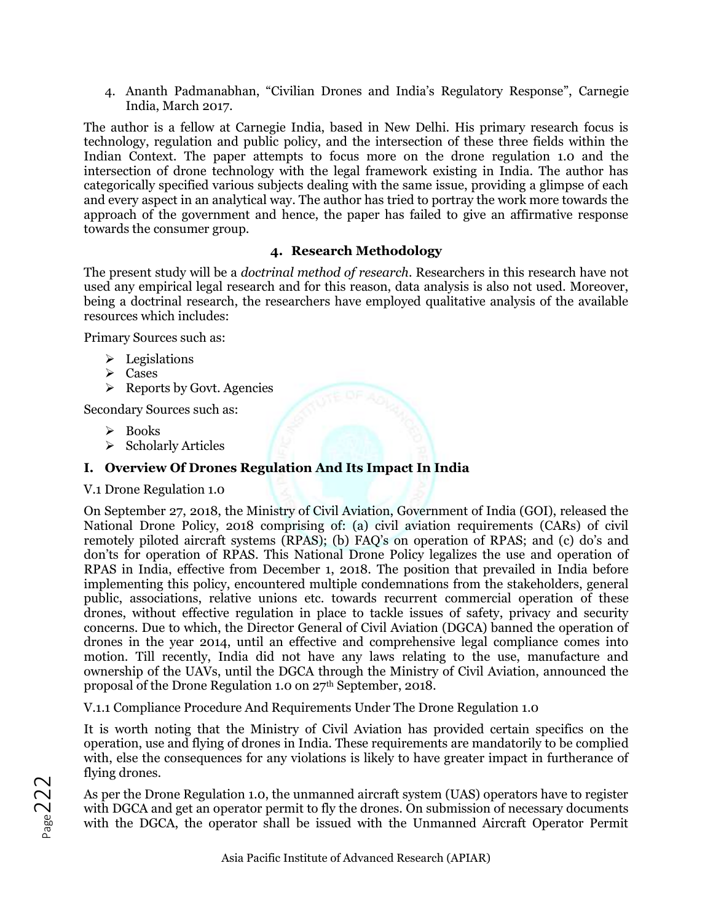4. Ananth Padmanabhan, "Civilian Drones and India's Regulatory Response", Carnegie India, March 2017.

The author is a fellow at Carnegie India, based in New Delhi. His primary research focus is technology, regulation and public policy, and the intersection of these three fields within the Indian Context. The paper attempts to focus more on the drone regulation 1.0 and the intersection of drone technology with the legal framework existing in India. The author has categorically specified various subjects dealing with the same issue, providing a glimpse of each and every aspect in an analytical way. The author has tried to portray the work more towards the approach of the government and hence, the paper has failed to give an affirmative response towards the consumer group.

## **4. Research Methodology**

The present study will be a *doctrinal method of research.* Researchers in this research have not used any empirical legal research and for this reason, data analysis is also not used. Moreover, being a doctrinal research, the researchers have employed qualitative analysis of the available resources which includes:

Primary Sources such as:

- $\triangleright$  Legislations
- ➢ Cases
- $\triangleright$  Reports by Govt. Agencies

Secondary Sources such as:

- ➢ Books
- ➢ Scholarly Articles

# **I. Overview Of Drones Regulation And Its Impact In India**

## V.1 Drone Regulation 1.0

On September 27, 2018, the Ministry of Civil Aviation, Government of India (GOI), released the National Drone Policy, 2018 comprising of: (a) civil aviation requirements (CARs) of civil remotely piloted aircraft systems (RPAS); (b) FAQ's on operation of RPAS; and (c) do's and don'ts for operation of RPAS. This National Drone Policy legalizes the use and operation of RPAS in India, effective from December 1, 2018. The position that prevailed in India before implementing this policy, encountered multiple condemnations from the stakeholders, general public, associations, relative unions etc. towards recurrent commercial operation of these drones, without effective regulation in place to tackle issues of safety, privacy and security concerns. Due to which, the Director General of Civil Aviation (DGCA) banned the operation of drones in the year 2014, until an effective and comprehensive legal compliance comes into motion. Till recently, India did not have any laws relating to the use, manufacture and ownership of the UAVs, until the DGCA through the Ministry of Civil Aviation, announced the proposal of the Drone Regulation 1.0 on 27<sup>th</sup> September, 2018.

V.1.1 Compliance Procedure And Requirements Under The Drone Regulation 1.0

It is worth noting that the Ministry of Civil Aviation has provided certain specifics on the operation, use and flying of drones in India. These requirements are mandatorily to be complied with, else the consequences for any violations is likely to have greater impact in furtherance of flying drones.

As per the Drone Regulation 1.0, the unmanned aircraft system (UAS) operators have to register with DGCA and get an operator permit to fly the drones. On submission of necessary documents with the DGCA, the operator shall be issued with the Unmanned Aircraft Operator Permit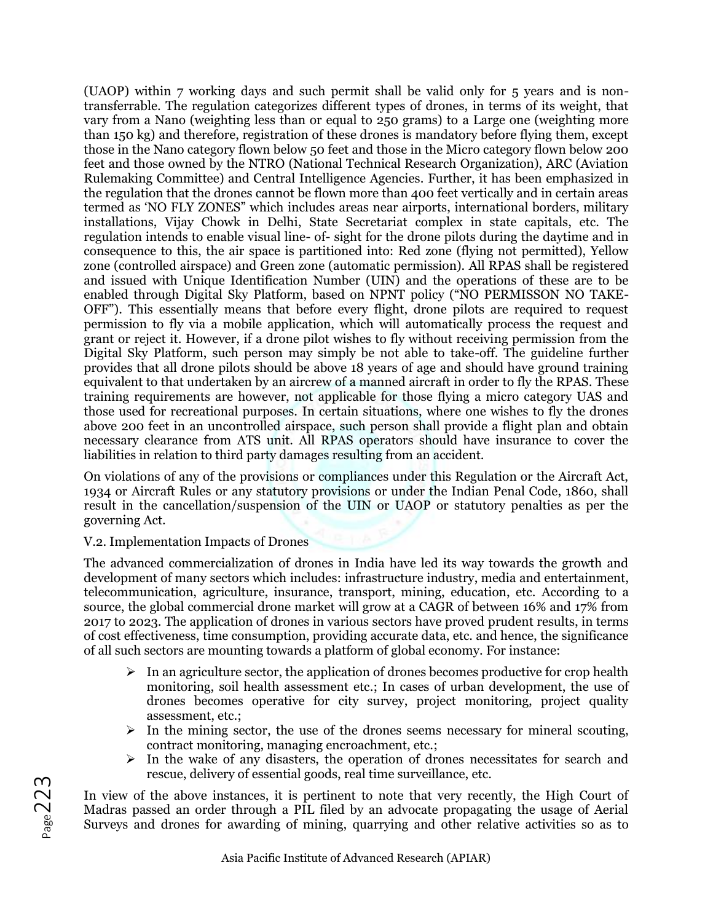(UAOP) within 7 working days and such permit shall be valid only for 5 years and is nontransferrable. The regulation categorizes different types of drones, in terms of its weight, that vary from a Nano (weighting less than or equal to 250 grams) to a Large one (weighting more than 150 kg) and therefore, registration of these drones is mandatory before flying them, except those in the Nano category flown below 50 feet and those in the Micro category flown below 200 feet and those owned by the NTRO (National Technical Research Organization), ARC (Aviation Rulemaking Committee) and Central Intelligence Agencies. Further, it has been emphasized in the regulation that the drones cannot be flown more than 400 feet vertically and in certain areas termed as 'NO FLY ZONES" which includes areas near airports, international borders, military installations, Vijay Chowk in Delhi, State Secretariat complex in state capitals, etc. The regulation intends to enable visual line- of- sight for the drone pilots during the daytime and in consequence to this, the air space is partitioned into: Red zone (flying not permitted), Yellow zone (controlled airspace) and Green zone (automatic permission). All RPAS shall be registered and issued with Unique Identification Number (UIN) and the operations of these are to be enabled through Digital Sky Platform, based on NPNT policy ("NO PERMISSON NO TAKE-OFF"). This essentially means that before every flight, drone pilots are required to request permission to fly via a mobile application, which will automatically process the request and grant or reject it. However, if a drone pilot wishes to fly without receiving permission from the Digital Sky Platform, such person may simply be not able to take-off. The guideline further provides that all drone pilots should be above 18 years of age and should have ground training equivalent to that undertaken by an aircrew of a manned aircraft in order to fly the RPAS. These training requirements are however, not applicable for those flying a micro category UAS and those used for recreational purposes. In certain situations, where one wishes to fly the drones above 200 feet in an uncontrolled airspace, such person shall provide a flight plan and obtain necessary clearance from ATS unit. All RPAS operators should have insurance to cover the liabilities in relation to third party damages resulting from an accident.

On violations of any of the provisions or compliances under this Regulation or the Aircraft Act, 1934 or Aircraft Rules or any statutory provisions or under the Indian Penal Code, 1860, shall result in the cancellation/suspension of the UIN or UAOP or statutory penalties as per the governing Act.

## V.2. Implementation Impacts of Drones

The advanced commercialization of drones in India have led its way towards the growth and development of many sectors which includes: infrastructure industry, media and entertainment, telecommunication, agriculture, insurance, transport, mining, education, etc. According to a source, the global commercial drone market will grow at a CAGR of between 16% and 17% from 2017 to 2023. The application of drones in various sectors have proved prudent results, in terms of cost effectiveness, time consumption, providing accurate data, etc. and hence, the significance of all such sectors are mounting towards a platform of global economy. For instance:

- $\triangleright$  In an agriculture sector, the application of drones becomes productive for crop health monitoring, soil health assessment etc.; In cases of urban development, the use of drones becomes operative for city survey, project monitoring, project quality assessment, etc.;
- $\triangleright$  In the mining sector, the use of the drones seems necessary for mineral scouting, contract monitoring, managing encroachment, etc.;
- $\triangleright$  In the wake of any disasters, the operation of drones necessitates for search and rescue, delivery of essential goods, real time surveillance, etc.

In view of the above instances, it is pertinent to note that very recently, the High Court of Madras passed an order through a PIL filed by an advocate propagating the usage of Aerial Surveys and drones for awarding of mining, quarrying and other relative activities so as to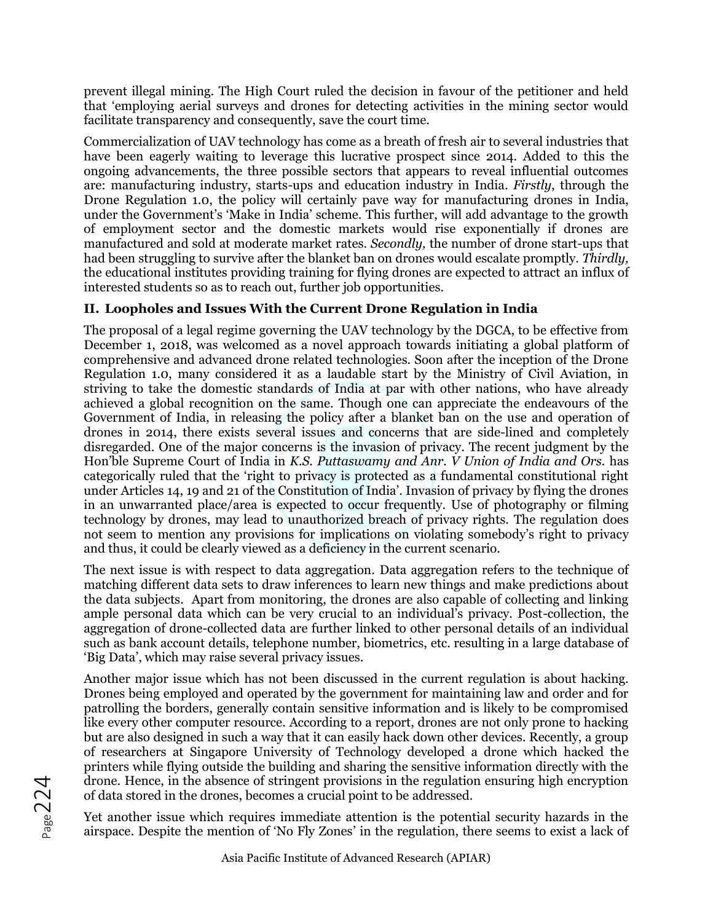prevent illegal mining. The High Court ruled the decision in favour of the petitioner and held that 'employing aerial surveys and drones for detecting activities in the mining sector would facilitate transparency and consequently, save the court time.

Commercialization of UAV technology has come as a breath of fresh air to several industries that have been eagerly waiting to leverage this lucrative prospect since 2014. Added to this the ongoing advancements, the three possible sectors that appears to reveal influential outcomes are: manufacturing industry, starts-ups and education industry in India. *Firstly*, through the Drone Regulation 1.0, the policy will certainly pave way for manufacturing drones in India, under the Government's 'Make in India' scheme. This further, will add advantage to the growth of employment sector and the domestic markets would rise exponentially if drones are manufactured and sold at moderate market rates. *Secondly,* the number of drone start-ups that had been struggling to survive after the blanket ban on drones would escalate promptly. *Thirdly,*  the educational institutes providing training for flying drones are expected to attract an influx of interested students so as to reach out, further job opportunities.

# **II. Loopholes and Issues With the Current Drone Regulation in India**

The proposal of a legal regime governing the UAV technology by the DGCA, to be effective from December 1, 2018, was welcomed as a novel approach towards initiating a global platform of comprehensive and advanced drone related technologies. Soon after the inception of the Drone Regulation 1.0, many considered it as a laudable start by the Ministry of Civil Aviation, in striving to take the domestic standards of India at par with other nations, who have already achieved a global recognition on the same. Though one can appreciate the endeavours of the Government of India, in releasing the policy after a blanket ban on the use and operation of drones in 2014, there exists several issues and concerns that are side-lined and completely disregarded. One of the major concerns is the invasion of privacy. The recent judgment by the Hon'ble Supreme Court of India in *K.S. Puttaswamy and Anr. V Union of India and Ors.* has categorically ruled that the 'right to privacy is protected as a fundamental constitutional right under Articles 14, 19 and 21 of the Constitution of India'. Invasion of privacy by flying the drones in an unwarranted place/area is expected to occur frequently. Use of photography or filming technology by drones, may lead to unauthorized breach of privacy rights. The regulation does not seem to mention any provisions for implications on violating somebody's right to privacy and thus, it could be clearly viewed as a deficiency in the current scenario.

The next issue is with respect to data aggregation. Data aggregation refers to the technique of matching different data sets to draw inferences to learn new things and make predictions about the data subjects. Apart from monitoring, the drones are also capable of collecting and linking ample personal data which can be very crucial to an individual's privacy. Post-collection, the aggregation of drone-collected data are further linked to other personal details of an individual such as bank account details, telephone number, biometrics, etc. resulting in a large database of 'Big Data', which may raise several privacy issues.

Another major issue which has not been discussed in the current regulation is about hacking. Drones being employed and operated by the government for maintaining law and order and for patrolling the borders, generally contain sensitive information and is likely to be compromised like every other computer resource. According to a report, drones are not only prone to hacking but are also designed in such a way that it can easily hack down other devices. Recently, a group of researchers at Singapore University of Technology developed a drone which hacked the printers while flying outside the building and sharing the sensitive information directly with the drone. Hence, in the absence of stringent provisions in the regulation ensuring high encryption of data stored in the drones, becomes a crucial point to be addressed.

Yet another issue which requires immediate attention is the potential security hazards in the airspace. Despite the mention of 'No Fly Zones' in the regulation, there seems to exist a lack of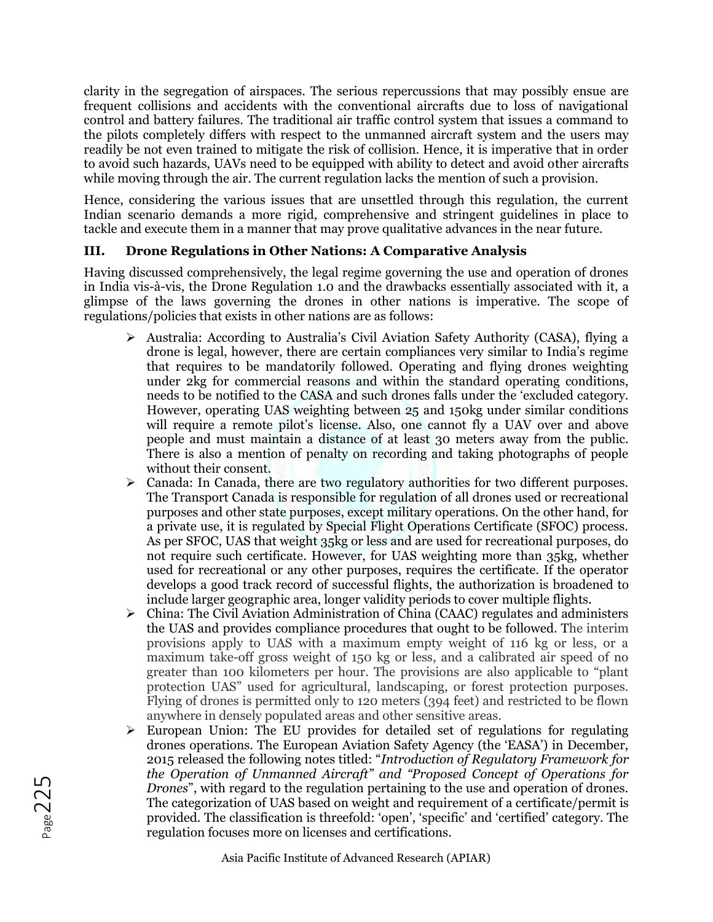clarity in the segregation of airspaces. The serious repercussions that may possibly ensue are frequent collisions and accidents with the conventional aircrafts due to loss of navigational control and battery failures. The traditional air traffic control system that issues a command to the pilots completely differs with respect to the unmanned aircraft system and the users may readily be not even trained to mitigate the risk of collision. Hence, it is imperative that in order to avoid such hazards, UAVs need to be equipped with ability to detect and avoid other aircrafts while moving through the air. The current regulation lacks the mention of such a provision.

Hence, considering the various issues that are unsettled through this regulation, the current Indian scenario demands a more rigid, comprehensive and stringent guidelines in place to tackle and execute them in a manner that may prove qualitative advances in the near future.

# **III. Drone Regulations in Other Nations: A Comparative Analysis**

Having discussed comprehensively, the legal regime governing the use and operation of drones in India vis-à-vis, the Drone Regulation 1.0 and the drawbacks essentially associated with it, a glimpse of the laws governing the drones in other nations is imperative. The scope of regulations/policies that exists in other nations are as follows:

- ➢ Australia: According to Australia's Civil Aviation Safety Authority (CASA), flying a drone is legal, however, there are certain compliances very similar to India's regime that requires to be mandatorily followed. Operating and flying drones weighting under 2kg for commercial reasons and within the standard operating conditions, needs to be notified to the CASA and such drones falls under the 'excluded category. However, operating UAS weighting between 25 and 150kg under similar conditions will require a remote pilot's license. Also, one cannot fly a UAV over and above people and must maintain a distance of at least 30 meters away from the public. There is also a mention of penalty on recording and taking photographs of people without their consent.
- $\triangleright$  Canada: In Canada, there are two regulatory authorities for two different purposes. The Transport Canada is responsible for regulation of all drones used or recreational purposes and other state purposes, except military operations. On the other hand, for a private use, it is regulated by Special Flight Operations Certificate (SFOC) process. As per SFOC, UAS that weight 35kg or less and are used for recreational purposes, do not require such certificate. However, for UAS weighting more than 35kg, whether used for recreational or any other purposes, requires the certificate. If the operator develops a good track record of successful flights, the authorization is broadened to include larger geographic area, longer validity periods to cover multiple flights.
- $\triangleright$  China: The Civil Aviation Administration of China (CAAC) regulates and administers the UAS and provides compliance procedures that ought to be followed. The interim provisions apply to UAS with a maximum empty weight of 116 kg or less, or a maximum take-off gross weight of 150 kg or less, and a calibrated air speed of no greater than 100 kilometers per hour. The provisions are also applicable to "plant protection UAS" used for agricultural, landscaping, or forest protection purposes. Flying of drones is permitted only to 120 meters (394 feet) and restricted to be flown anywhere in densely populated areas and other sensitive areas.
- ➢ European Union: The EU provides for detailed set of regulations for regulating drones operations. The European Aviation Safety Agency (the 'EASA') in December, 2015 released the following notes titled: "*Introduction of Regulatory Framework for the Operation of Unmanned Aircraft" and "Proposed Concept of Operations for Drones*", with regard to the regulation pertaining to the use and operation of drones. The categorization of UAS based on weight and requirement of a certificate/permit is provided. The classification is threefold: 'open', 'specific' and 'certified' category. The regulation focuses more on licenses and certifications.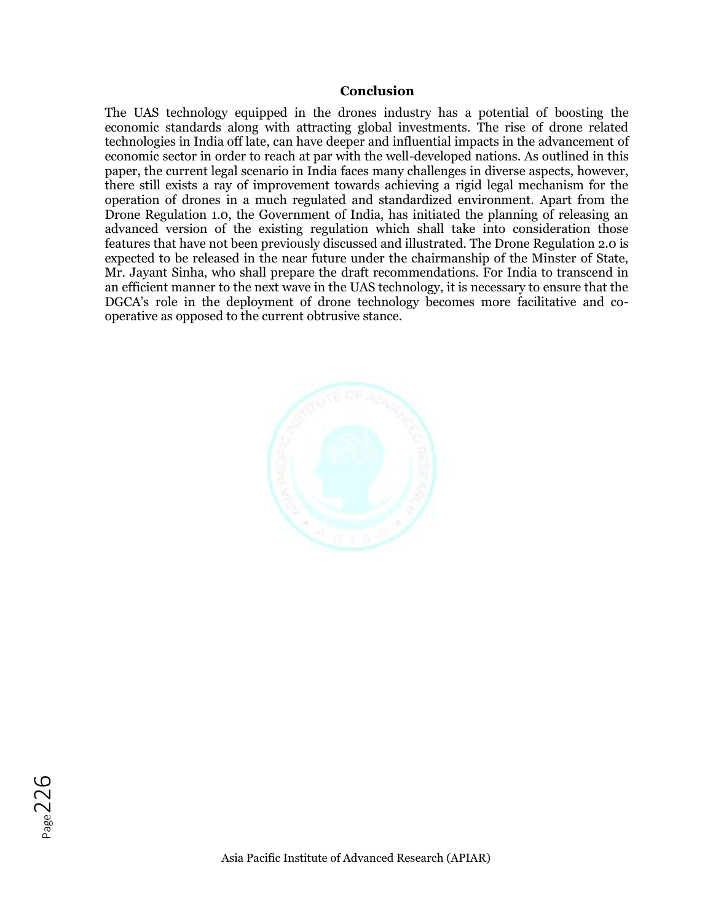#### **Conclusion**

The UAS technology equipped in the drones industry has a potential of boosting the economic standards along with attracting global investments. The rise of drone related technologies in India off late, can have deeper and influential impacts in the advancement of economic sector in order to reach at par with the well-developed nations. As outlined in this paper, the current legal scenario in India faces many challenges in diverse aspects, however, there still exists a ray of improvement towards achieving a rigid legal mechanism for the operation of drones in a much regulated and standardized environment. Apart from the Drone Regulation 1.0, the Government of India, has initiated the planning of releasing an advanced version of the existing regulation which shall take into consideration those features that have not been previously discussed and illustrated. The Drone Regulation 2.0 is expected to be released in the near future under the chairmanship of the Minster of State, Mr. Jayant Sinha, who shall prepare the draft recommendations. For India to transcend in an efficient manner to the next wave in the UAS technology, it is necessary to ensure that the DGCA's role in the deployment of drone technology becomes more facilitative and cooperative as opposed to the current obtrusive stance.